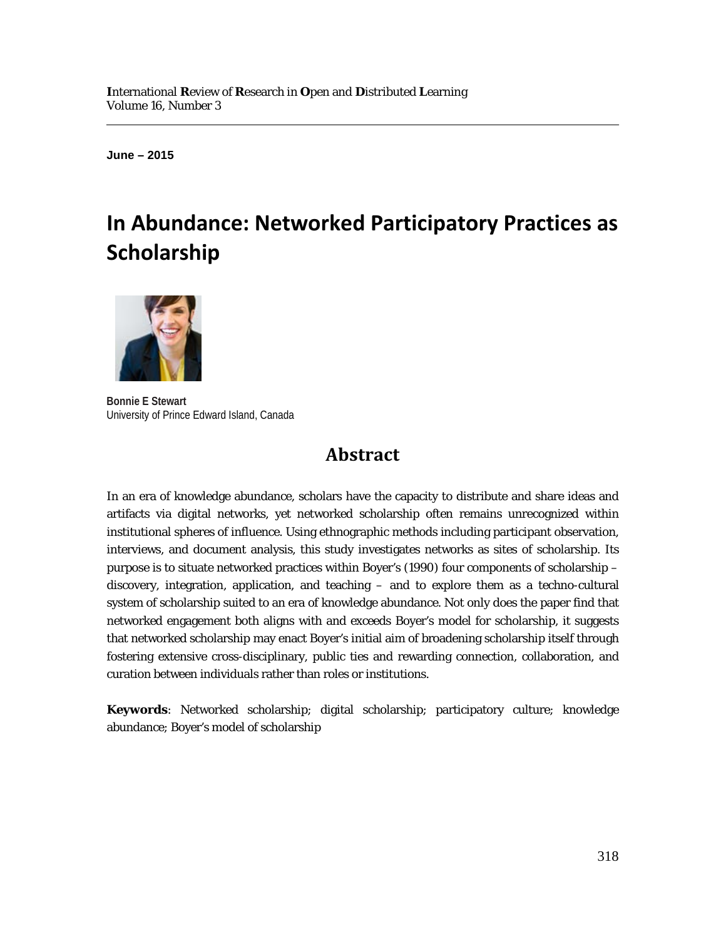**June – 2015**

 $\overline{a}$ 

# **In Abundance: Networked Participatory Practices as Scholarship**



**Bonnie E Stewart** University of Prince Edward Island, Canada

# **Abstract**

In an era of knowledge abundance, scholars have the capacity to distribute and share ideas and artifacts via digital networks, yet networked scholarship often remains unrecognized within institutional spheres of influence. Using ethnographic methods including participant observation, interviews, and document analysis, this study investigates networks as sites of scholarship. Its purpose is to situate networked practices within Boyer's (1990) four components of scholarship – discovery, integration, application, and teaching – and to explore them as a techno-cultural system of scholarship suited to an era of knowledge abundance. Not only does the paper find that networked engagement both aligns with and exceeds Boyer's model for scholarship, it suggests that networked scholarship may enact Boyer's initial aim of broadening scholarship itself through fostering extensive cross-disciplinary, public ties and rewarding connection, collaboration, and curation between individuals rather than roles or institutions.

**Keywords**: Networked scholarship; digital scholarship; participatory culture; knowledge abundance; Boyer's model of scholarship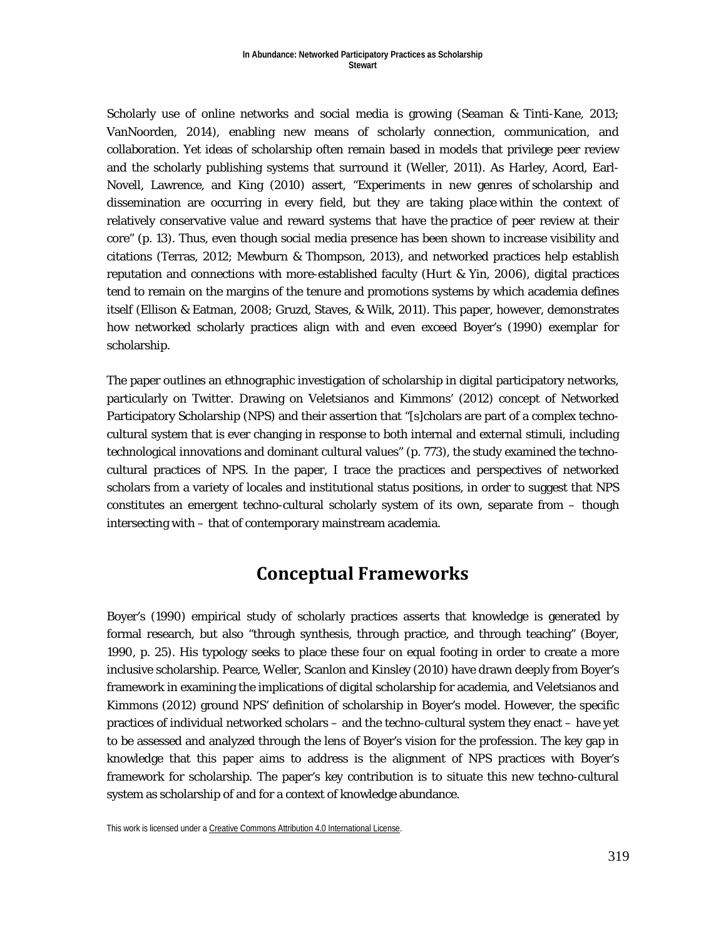Scholarly use of online networks and social media is growing (Seaman & Tinti-Kane, 2013; VanNoorden, 2014), enabling new means of scholarly connection, communication, and collaboration. Yet ideas of scholarship often remain based in models that privilege peer review and the scholarly publishing systems that surround it (Weller, 2011). As Harley, Acord, Earl-Novell, Lawrence, and King (2010) assert, "Experiments in new genres of scholarship and dissemination are occurring in every field, but they are taking place within the context of relatively conservative value and reward systems that have the practice of peer review at their core" (p. 13). Thus, even though social media presence has been shown to increase visibility and citations (Terras, 2012; Mewburn & Thompson, 2013), and networked practices help establish reputation and connections with more-established faculty (Hurt & Yin, 2006), digital practices tend to remain on the margins of the tenure and promotions systems by which academia defines itself (Ellison & Eatman, 2008; Gruzd, Staves, & Wilk, 2011). This paper, however, demonstrates how networked scholarly practices align with and even exceed Boyer's (1990) exemplar for scholarship.

The paper outlines an ethnographic investigation of scholarship in digital participatory networks, particularly on Twitter. Drawing on Veletsianos and Kimmons' (2012) concept of Networked Participatory Scholarship (NPS) and their assertion that "[s]cholars are part of a complex technocultural system that is ever changing in response to both internal and external stimuli, including technological innovations and dominant cultural values" (p. 773), the study examined the technocultural practices of NPS. In the paper, I trace the practices and perspectives of networked scholars from a variety of locales and institutional status positions, in order to suggest that NPS constitutes an emergent techno-cultural scholarly system of its own, separate from – though intersecting with – that of contemporary mainstream academia.

## **Conceptual Frameworks**

Boyer's (1990) empirical study of scholarly practices asserts that knowledge is generated by formal research, but also "through synthesis, through practice, and through teaching" (Boyer, 1990, p. 25). His typology seeks to place these four on equal footing in order to create a more inclusive scholarship. Pearce, Weller, Scanlon and Kinsley (2010) have drawn deeply from Boyer's framework in examining the implications of digital scholarship for academia, and Veletsianos and Kimmons (2012) ground NPS' definition of scholarship in Boyer's model. However, the specific practices of individual networked scholars – and the techno-cultural system they enact – have yet to be assessed and analyzed through the lens of Boyer's vision for the profession. The key gap in knowledge that this paper aims to address is the alignment of NPS practices with Boyer's framework for scholarship. The paper's key contribution is to situate this new techno-cultural system as scholarship of and for a context of knowledge abundance.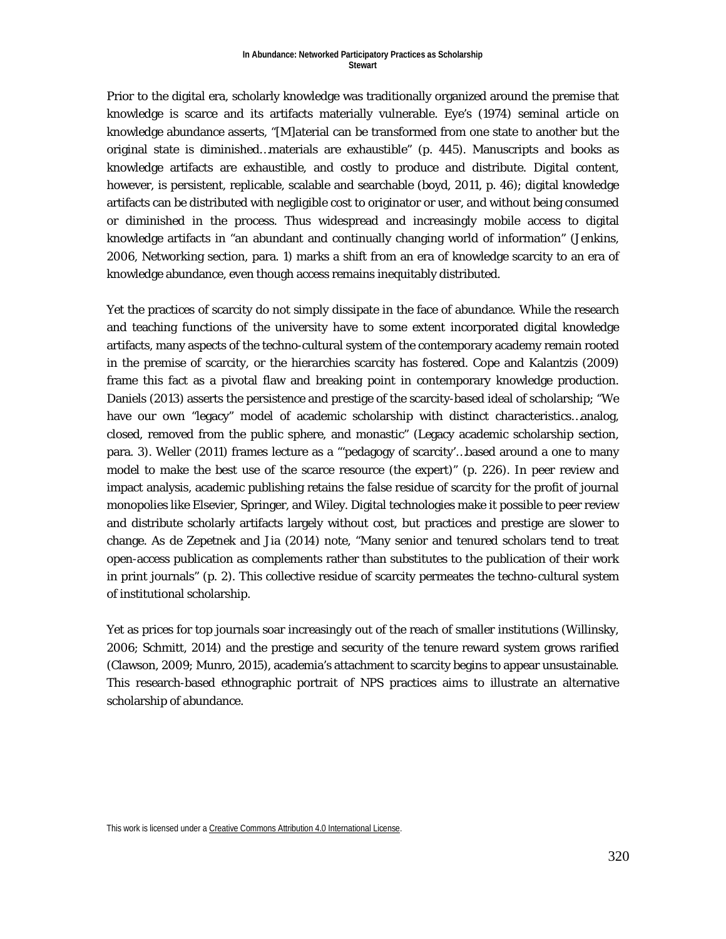Prior to the digital era, scholarly knowledge was traditionally organized around the premise that knowledge is scarce and its artifacts materially vulnerable. Eye's (1974) seminal article on knowledge abundance asserts, "[M]aterial can be transformed from one state to another but the original state is diminished…materials are exhaustible" (p. 445). Manuscripts and books as knowledge artifacts are exhaustible, and costly to produce and distribute. Digital content, however, is persistent, replicable, scalable and searchable (boyd, 2011, p. 46); digital knowledge artifacts can be distributed with negligible cost to originator or user, and without being consumed or diminished in the process. Thus widespread and increasingly mobile access to digital knowledge artifacts in "an abundant and continually changing world of information" (Jenkins, 2006, Networking section, para. 1) marks a shift from an era of knowledge scarcity to an era of knowledge abundance, even though access remains inequitably distributed.

Yet the practices of scarcity do not simply dissipate in the face of abundance. While the research and teaching functions of the university have to some extent incorporated digital knowledge artifacts, many aspects of the techno-cultural system of the contemporary academy remain rooted in the premise of scarcity, or the hierarchies scarcity has fostered. Cope and Kalantzis (2009) frame this fact as a pivotal flaw and breaking point in contemporary knowledge production. Daniels (2013) asserts the persistence and prestige of the scarcity-based ideal of scholarship; "We have our own "legacy" model of academic scholarship with distinct characteristics…analog, closed, removed from the public sphere, and monastic" (Legacy academic scholarship section, para. 3). Weller (2011) frames lecture as a "'pedagogy of scarcity'…based around a one to many model to make the best use of the scarce resource (the expert)" (p. 226). In peer review and impact analysis, academic publishing retains the false residue of scarcity for the profit of journal monopolies like Elsevier, Springer, and Wiley. Digital technologies make it possible to peer review and distribute scholarly artifacts largely without cost, but practices and prestige are slower to change. As de Zepetnek and Jia (2014) note, "Many senior and tenured scholars tend to treat open-access publication as complements rather than substitutes to the publication of their work in print journals" (p. 2). This collective residue of scarcity permeates the techno-cultural system of institutional scholarship.

Yet as prices for top journals soar increasingly out of the reach of smaller institutions (Willinsky, 2006; Schmitt, 2014) and the prestige and security of the tenure reward system grows rarified (Clawson, 2009; Munro, 2015), academia's attachment to scarcity begins to appear unsustainable. This research-based ethnographic portrait of NPS practices aims to illustrate an alternative scholarship of abundance.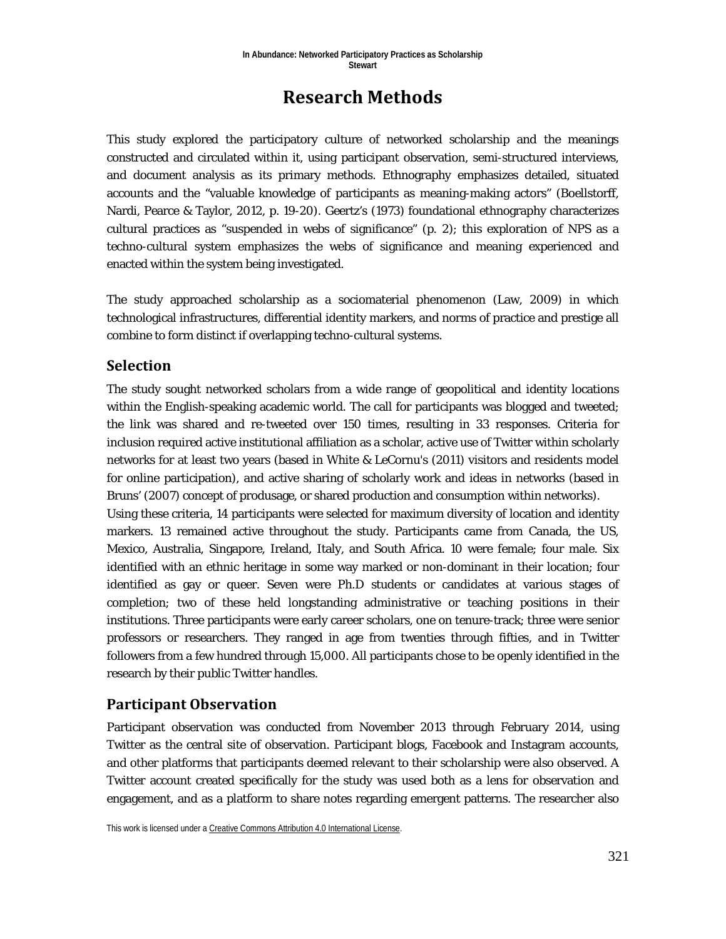# **Research Methods**

This study explored the participatory culture of networked scholarship and the meanings constructed and circulated within it, using participant observation, semi-structured interviews, and document analysis as its primary methods. Ethnography emphasizes detailed, situated accounts and the "valuable knowledge of participants as meaning-making actors" (Boellstorff, Nardi, Pearce & Taylor, 2012, p. 19-20). Geertz's (1973) foundational ethnography characterizes cultural practices as "suspended in webs of significance" (p. 2); this exploration of NPS as a techno-cultural system emphasizes the webs of significance and meaning experienced and enacted within the system being investigated.

The study approached scholarship as a sociomaterial phenomenon (Law, 2009) in which technological infrastructures, differential identity markers, and norms of practice and prestige all combine to form distinct if overlapping techno-cultural systems.

### **Selection**

The study sought networked scholars from a wide range of geopolitical and identity locations within the English-speaking academic world. The call for participants was blogged and tweeted; the link was shared and re-tweeted over 150 times, resulting in 33 responses. Criteria for inclusion required active institutional affiliation as a scholar, active use of Twitter within scholarly networks for at least two years (based in White & LeCornu's (2011) visitors and residents model for online participation), and active sharing of scholarly work and ideas in networks (based in Bruns' (2007) concept of produsage, or shared production and consumption within networks). Using these criteria, 14 participants were selected for maximum diversity of location and identity markers. 13 remained active throughout the study. Participants came from Canada, the US, Mexico, Australia, Singapore, Ireland, Italy, and South Africa. 10 were female; four male. Six identified with an ethnic heritage in some way marked or non-dominant in their location; four identified as gay or queer. Seven were Ph.D students or candidates at various stages of completion; two of these held longstanding administrative or teaching positions in their institutions. Three participants were early career scholars, one on tenure-track; three were senior professors or researchers. They ranged in age from twenties through fifties, and in Twitter followers from a few hundred through 15,000. All participants chose to be openly identified in the research by their public Twitter handles.

### **Participant Observation**

Participant observation was conducted from November 2013 through February 2014, using Twitter as the central site of observation. Participant blogs, Facebook and Instagram accounts, and other platforms that participants deemed relevant to their scholarship were also observed. A Twitter account created specifically for the study was used both as a lens for observation and engagement, and as a platform to share notes regarding emergent patterns. The researcher also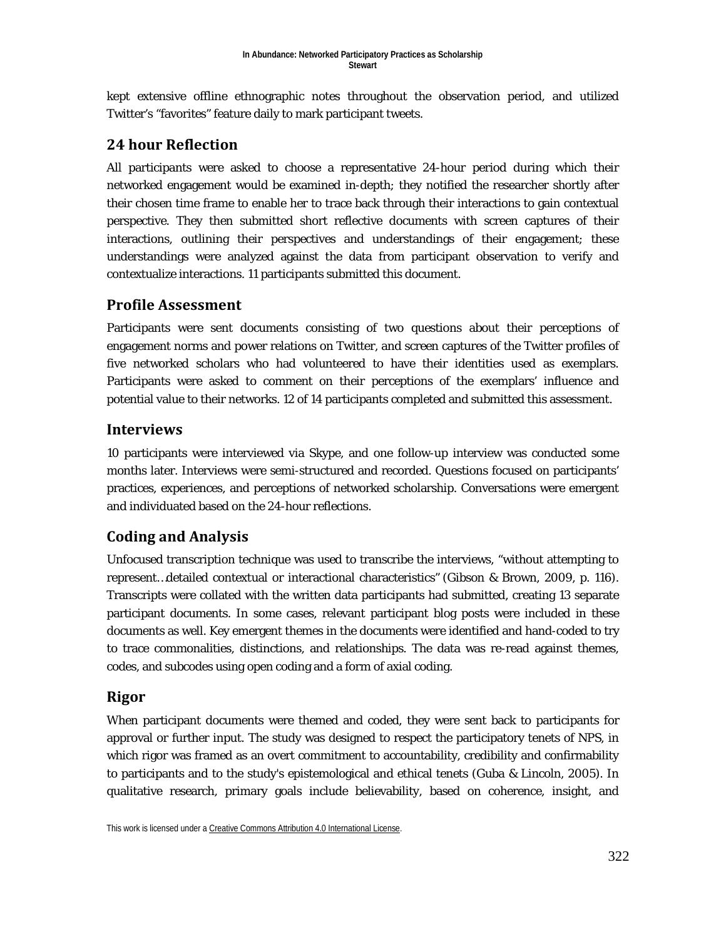kept extensive offline ethnographic notes throughout the observation period, and utilized Twitter's "favorites" feature daily to mark participant tweets.

## **24 hour Reflection**

All participants were asked to choose a representative 24-hour period during which their networked engagement would be examined in-depth; they notified the researcher shortly after their chosen time frame to enable her to trace back through their interactions to gain contextual perspective. They then submitted short reflective documents with screen captures of their interactions, outlining their perspectives and understandings of their engagement; these understandings were analyzed against the data from participant observation to verify and contextualize interactions. 11 participants submitted this document.

## **Profile Assessment**

Participants were sent documents consisting of two questions about their perceptions of engagement norms and power relations on Twitter, and screen captures of the Twitter profiles of five networked scholars who had volunteered to have their identities used as exemplars. Participants were asked to comment on their perceptions of the exemplars' influence and potential value to their networks. 12 of 14 participants completed and submitted this assessment.

### **Interviews**

10 participants were interviewed via Skype, and one follow-up interview was conducted some months later. Interviews were semi-structured and recorded. Questions focused on participants' practices, experiences, and perceptions of networked scholarship. Conversations were emergent and individuated based on the 24-hour reflections.

## **Coding and Analysis**

Unfocused transcription technique was used to transcribe the interviews, "without attempting to represent…detailed contextual or interactional characteristics" (Gibson & Brown, 2009, p. 116). Transcripts were collated with the written data participants had submitted, creating 13 separate participant documents. In some cases, relevant participant blog posts were included in these documents as well. Key emergent themes in the documents were identified and hand-coded to try to trace commonalities, distinctions, and relationships. The data was re-read against themes, codes, and subcodes using open coding and a form of axial coding.

### **Rigor**

When participant documents were themed and coded, they were sent back to participants for approval or further input. The study was designed to respect the participatory tenets of NPS, in which rigor was framed as an overt commitment to accountability, credibility and confirmability to participants and to the study's epistemological and ethical tenets (Guba & Lincoln, 2005). In qualitative research, primary goals include believability, based on coherence, insight, and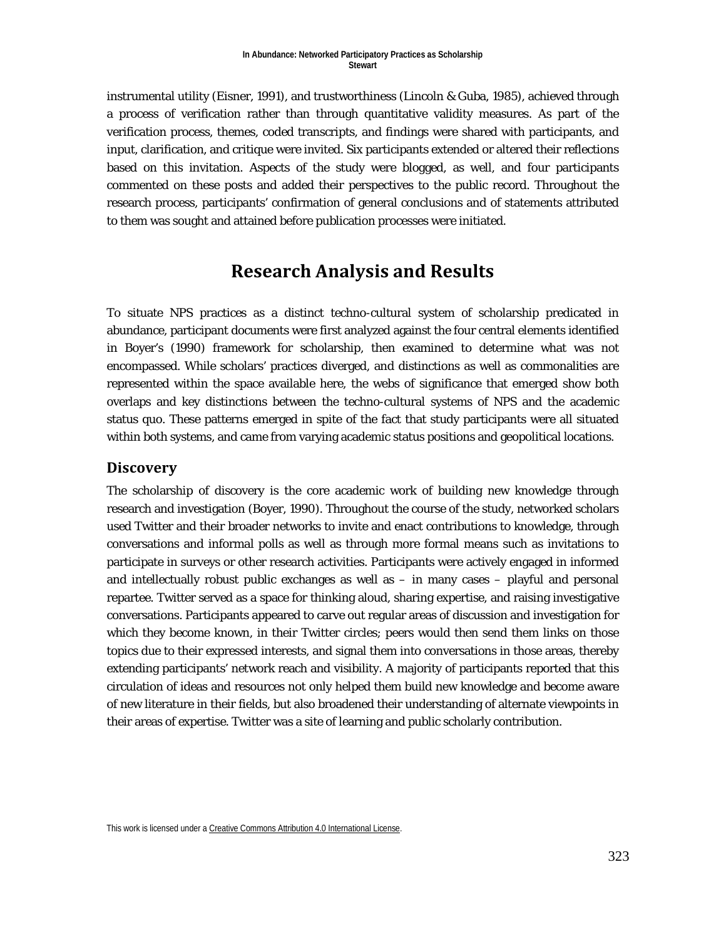instrumental utility (Eisner, 1991), and trustworthiness (Lincoln & Guba, 1985), achieved through a process of verification rather than through quantitative validity measures. As part of the verification process, themes, coded transcripts, and findings were shared with participants, and input, clarification, and critique were invited. Six participants extended or altered their reflections based on this invitation. Aspects of the study were blogged, as well, and four participants commented on these posts and added their perspectives to the public record. Throughout the research process, participants' confirmation of general conclusions and of statements attributed to them was sought and attained before publication processes were initiated.

# **Research Analysis and Results**

To situate NPS practices as a distinct techno-cultural system of scholarship predicated in abundance, participant documents were first analyzed against the four central elements identified in Boyer's (1990) framework for scholarship, then examined to determine what was not encompassed. While scholars' practices diverged, and distinctions as well as commonalities are represented within the space available here, the webs of significance that emerged show both overlaps and key distinctions between the techno-cultural systems of NPS and the academic status quo. These patterns emerged in spite of the fact that study participants were all situated within both systems, and came from varying academic status positions and geopolitical locations.

### **Discovery**

The scholarship of discovery is the core academic work of building new knowledge through research and investigation (Boyer, 1990). Throughout the course of the study, networked scholars used Twitter and their broader networks to invite and enact contributions to knowledge, through conversations and informal polls as well as through more formal means such as invitations to participate in surveys or other research activities. Participants were actively engaged in informed and intellectually robust public exchanges as well as – in many cases – playful and personal repartee. Twitter served as a space for thinking aloud, sharing expertise, and raising investigative conversations. Participants appeared to carve out regular areas of discussion and investigation for which they become known, in their Twitter circles; peers would then send them links on those topics due to their expressed interests, and signal them into conversations in those areas, thereby extending participants' network reach and visibility. A majority of participants reported that this circulation of ideas and resources not only helped them build new knowledge and become aware of new literature in their fields, but also broadened their understanding of alternate viewpoints in their areas of expertise. Twitter was a site of learning and public scholarly contribution.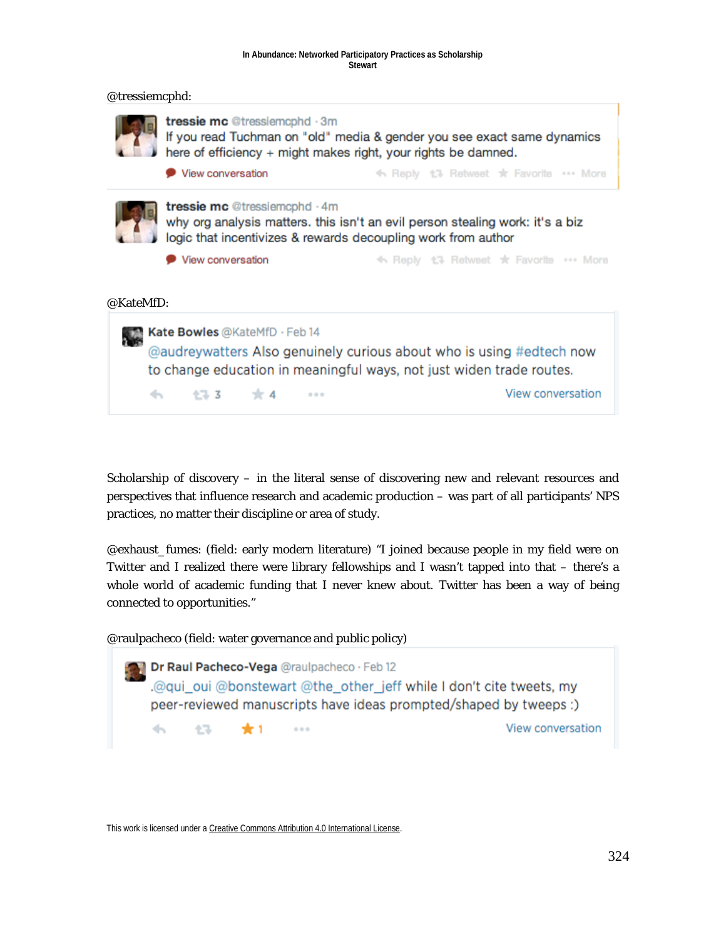#### **In Abundance: Networked Participatory Practices as Scholarship Stewart**



Scholarship of discovery – in the literal sense of discovering new and relevant resources and perspectives that influence research and academic production – was part of all participants' NPS practices, no matter their discipline or area of study.

@exhaust\_fumes: (field: early modern literature) "I joined because people in my field were on Twitter and I realized there were library fellowships and I wasn't tapped into that – there's a whole world of academic funding that I never knew about. Twitter has been a way of being connected to opportunities."

@raulpacheco (field: water governance and public policy)

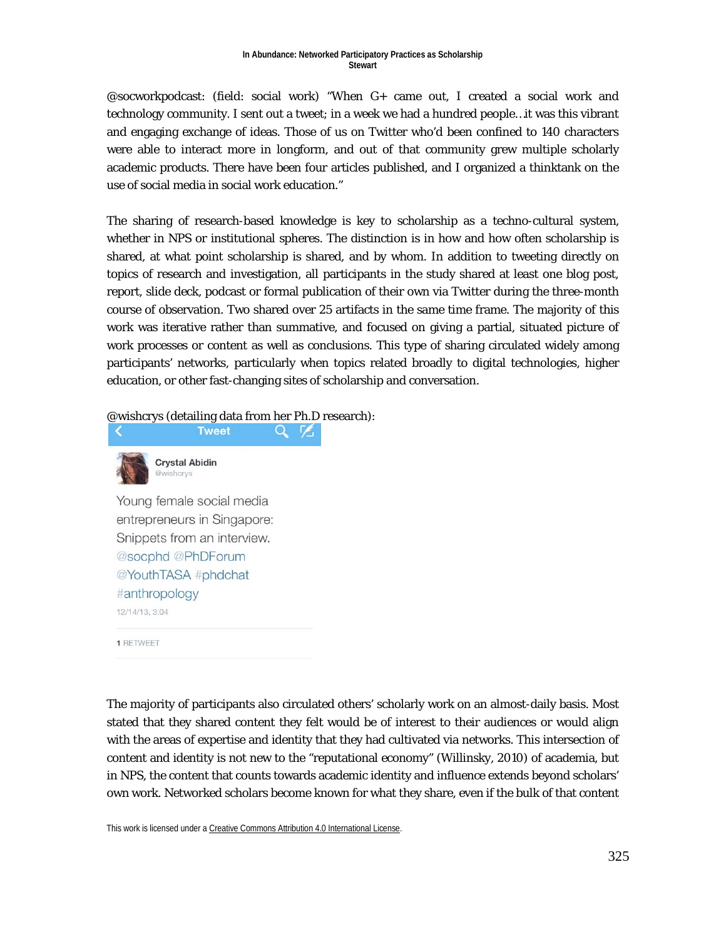#### **In Abundance: Networked Participatory Practices as Scholarship Stewart**

@socworkpodcast: (field: social work) "When G+ came out, I created a social work and technology community. I sent out a tweet; in a week we had a hundred people…it was this vibrant and engaging exchange of ideas. Those of us on Twitter who'd been confined to 140 characters were able to interact more in longform, and out of that community grew multiple scholarly academic products. There have been four articles published, and I organized a thinktank on the use of social media in social work education."

The sharing of research-based knowledge is key to scholarship as a techno-cultural system, whether in NPS or institutional spheres. The distinction is in how and how often scholarship is shared, at what point scholarship is shared, and by whom. In addition to tweeting directly on topics of research and investigation, all participants in the study shared at least one blog post, report, slide deck, podcast or formal publication of their own via Twitter during the three-month course of observation. Two shared over 25 artifacts in the same time frame. The majority of this work was iterative rather than summative, and focused on giving a partial, situated picture of work processes or content as well as conclusions. This type of sharing circulated widely among participants' networks, particularly when topics related broadly to digital technologies, higher education, or other fast-changing sites of scholarship and conversation.

@wishcrys (detailing data from her Ph.D research):

Q Z



Young female social media entrepreneurs in Singapore: Snippets from an interview. @socphd @PhDForum @YouthTASA #phdchat #anthropology 12/14/13, 3:04

**1 RETWEET** 

The majority of participants also circulated others' scholarly work on an almost-daily basis. Most stated that they shared content they felt would be of interest to their audiences or would align with the areas of expertise and identity that they had cultivated via networks. This intersection of content and identity is not new to the "reputational economy" (Willinsky, 2010) of academia, but in NPS, the content that counts towards academic identity and influence extends beyond scholars' own work. Networked scholars become known for what they share, even if the bulk of that content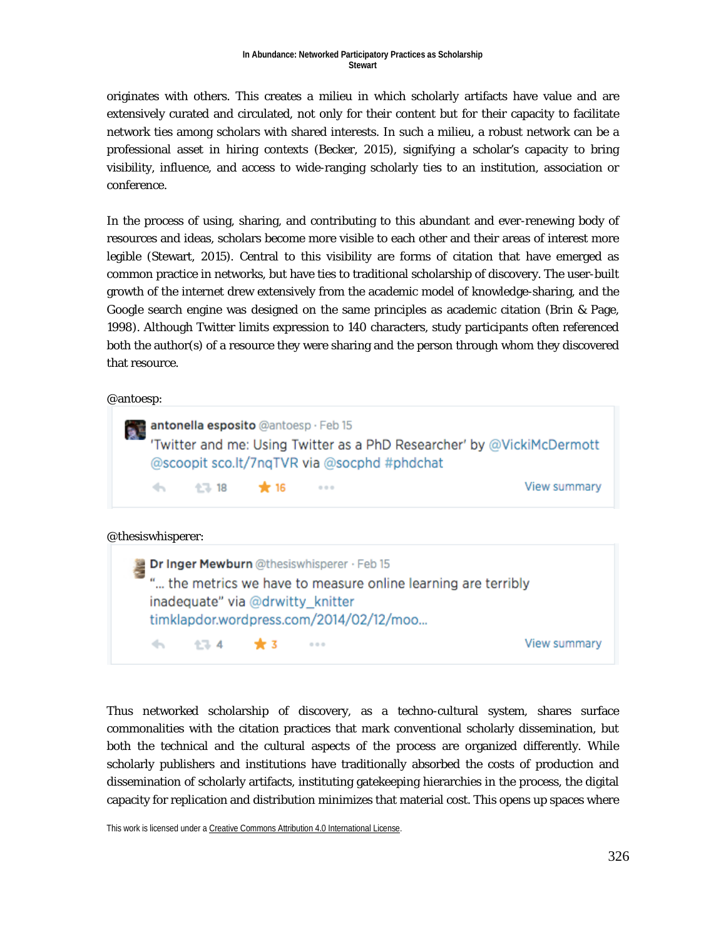originates with others. This creates a milieu in which scholarly artifacts have value and are extensively curated and circulated, not only for their content but for their capacity to facilitate network ties among scholars with shared interests. In such a milieu, a robust network can be a professional asset in hiring contexts (Becker, 2015), signifying a scholar's capacity to bring visibility, influence, and access to wide-ranging scholarly ties to an institution, association or conference.

In the process of using, sharing, and contributing to this abundant and ever-renewing body of resources and ideas, scholars become more visible to each other and their areas of interest more legible (Stewart, 2015). Central to this visibility are forms of citation that have emerged as common practice in networks, but have ties to traditional scholarship of discovery. The user-built growth of the internet drew extensively from the academic model of knowledge-sharing, and the Google search engine was designed on the same principles as academic citation (Brin & Page, 1998). Although Twitter limits expression to 140 characters, study participants often referenced both the author(s) of a resource they were sharing and the person through whom they discovered that resource.

@antoesp:

|                   | <b>Continued alle sposito</b> @antoesp · Feb 15 |             | 'Twitter and me: Using Twitter as a PhD Researcher' by @VickiMcDermott<br>@scoopit sco.lt/7nqTVR via @socphd #phdchat |
|-------------------|-------------------------------------------------|-------------|-----------------------------------------------------------------------------------------------------------------------|
|                   | → 13 ★16                                        | $-0.0 - 0.$ | View summary                                                                                                          |
| @thesiswhisperer: |                                                 |             |                                                                                                                       |

Dr Inger Mewburn @thesiswhisperer · Feb 15 "... the metrics we have to measure online learning are terribly inadequate" via @drwitty knitter timklapdor.wordpress.com/2014/02/12/moo...  $\leftarrow$ 17 4  $*3$  $\alpha \in \alpha$ View summary

Thus networked scholarship of discovery, as a techno-cultural system, shares surface commonalities with the citation practices that mark conventional scholarly dissemination, but both the technical and the cultural aspects of the process are organized differently. While scholarly publishers and institutions have traditionally absorbed the costs of production and dissemination of scholarly artifacts, instituting gatekeeping hierarchies in the process, the digital capacity for replication and distribution minimizes that material cost. This opens up spaces where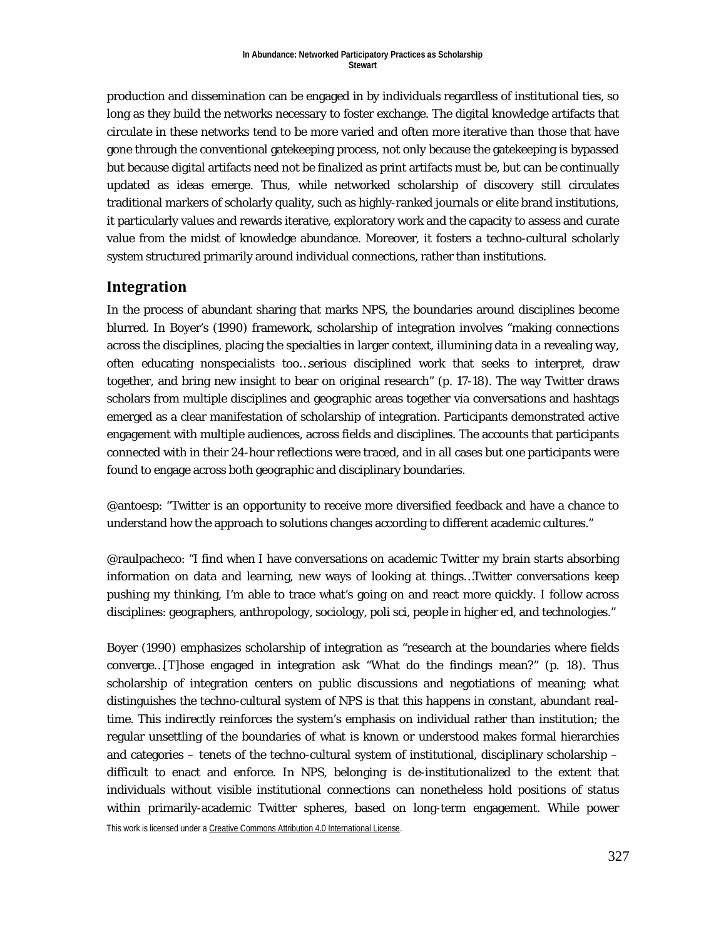production and dissemination can be engaged in by individuals regardless of institutional ties, so long as they build the networks necessary to foster exchange. The digital knowledge artifacts that circulate in these networks tend to be more varied and often more iterative than those that have gone through the conventional gatekeeping process, not only because the gatekeeping is bypassed but because digital artifacts need not be finalized as print artifacts must be, but can be continually updated as ideas emerge. Thus, while networked scholarship of discovery still circulates traditional markers of scholarly quality, such as highly-ranked journals or elite brand institutions, it particularly values and rewards iterative, exploratory work and the capacity to assess and curate value from the midst of knowledge abundance. Moreover, it fosters a techno-cultural scholarly system structured primarily around individual connections, rather than institutions.

### **Integration**

In the process of abundant sharing that marks NPS, the boundaries around disciplines become blurred. In Boyer's (1990) framework, scholarship of integration involves "making connections across the disciplines, placing the specialties in larger context, illumining data in a revealing way, often educating nonspecialists too…serious disciplined work that seeks to interpret, draw together, and bring new insight to bear on original research" (p. 17-18). The way Twitter draws scholars from multiple disciplines and geographic areas together via conversations and hashtags emerged as a clear manifestation of scholarship of integration. Participants demonstrated active engagement with multiple audiences, across fields and disciplines. The accounts that participants connected with in their 24-hour reflections were traced, and in all cases but one participants were found to engage across both geographic and disciplinary boundaries.

@antoesp: "Twitter is an opportunity to receive more diversified feedback and have a chance to understand how the approach to solutions changes according to different academic cultures."

@raulpacheco: "I find when I have conversations on academic Twitter my brain starts absorbing information on data and learning, new ways of looking at things…Twitter conversations keep pushing my thinking, I'm able to trace what's going on and react more quickly. I follow across disciplines: geographers, anthropology, sociology, poli sci, people in higher ed, and technologies."

Boyer (1990) emphasizes scholarship of integration as "research at the boundaries where fields converge…[T]hose engaged in integration ask "What do the findings mean?" (p. 18). Thus scholarship of integration centers on public discussions and negotiations of meaning; what distinguishes the techno-cultural system of NPS is that this happens in constant, abundant realtime. This indirectly reinforces the system's emphasis on individual rather than institution; the regular unsettling of the boundaries of what is known or understood makes formal hierarchies and categories – tenets of the techno-cultural system of institutional, disciplinary scholarship – difficult to enact and enforce. In NPS, belonging is de-institutionalized to the extent that individuals without visible institutional connections can nonetheless hold positions of status within primarily-academic Twitter spheres, based on long-term engagement. While power

This work is licensed under [a Creative Commons Attribution 4.0 International License.](http://creativecommons.org/licenses/by/4.0/)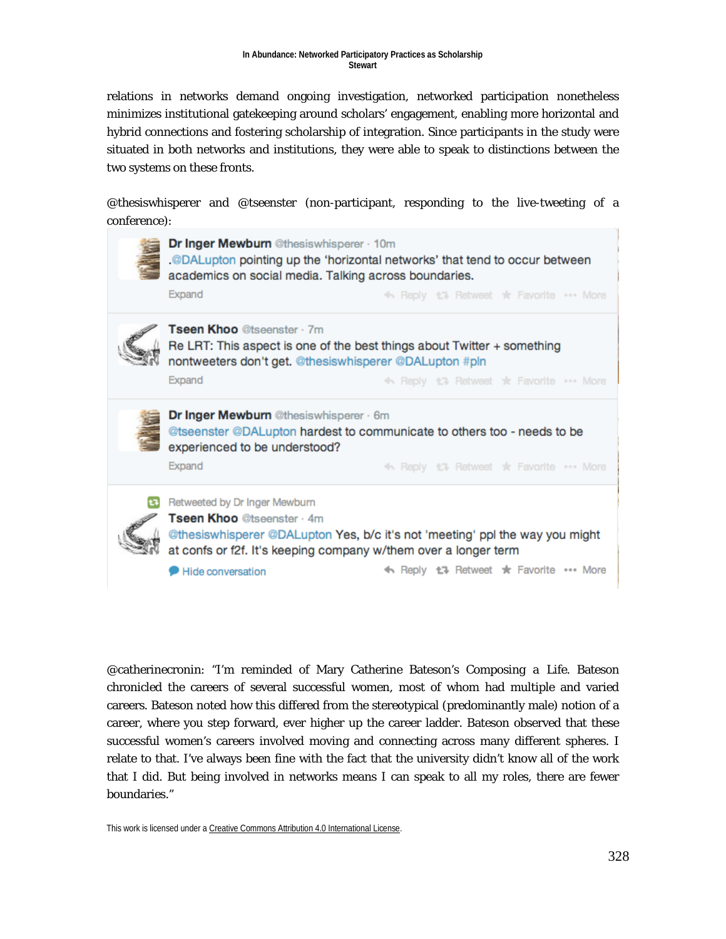relations in networks demand ongoing investigation, networked participation nonetheless minimizes institutional gatekeeping around scholars' engagement, enabling more horizontal and hybrid connections and fostering scholarship of integration. Since participants in the study were situated in both networks and institutions, they were able to speak to distinctions between the two systems on these fronts.

@thesiswhisperer and @tseenster (non-participant, responding to the live-tweeting of a conference):



@catherinecronin: "I'm reminded of Mary Catherine Bateson's *Composing a Life*. Bateson chronicled the careers of several successful women, most of whom had multiple and varied careers. Bateson noted how this differed from the stereotypical (predominantly male) notion of a career, where you step forward, ever higher up the career ladder. Bateson observed that these successful women's careers involved moving and connecting across many different spheres. I relate to that. I've always been fine with the fact that the university didn't know all of the work that I did. But being involved in networks means I can speak to all my roles, there are fewer boundaries."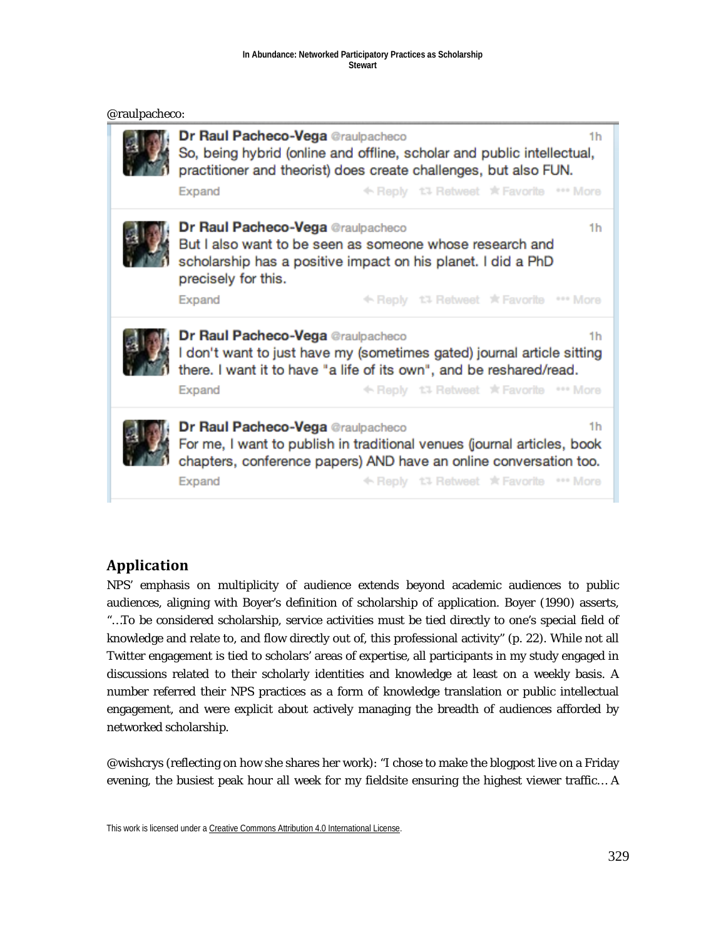#### **In Abundance: Networked Participatory Practices as Scholarship Stewart**

|  | @raulpacheco: |
|--|---------------|
|--|---------------|



## **Application**

NPS' emphasis on multiplicity of audience extends beyond academic audiences to public audiences, aligning with Boyer's definition of scholarship of application. Boyer (1990) asserts, "…To be considered scholarship, service activities must be tied directly to one's special field of knowledge and relate to, and flow directly out of, this professional activity" (p. 22). While not all Twitter engagement is tied to scholars' areas of expertise, all participants in my study engaged in discussions related to their scholarly identities and knowledge at least on a weekly basis. A number referred their NPS practices as a form of knowledge translation or public intellectual engagement, and were explicit about actively managing the breadth of audiences afforded by networked scholarship.

@wishcrys (reflecting on how she shares her work): "I chose to make the blogpost live on a Friday evening, the busiest peak hour all week for my fieldsite ensuring the highest viewer traffic… A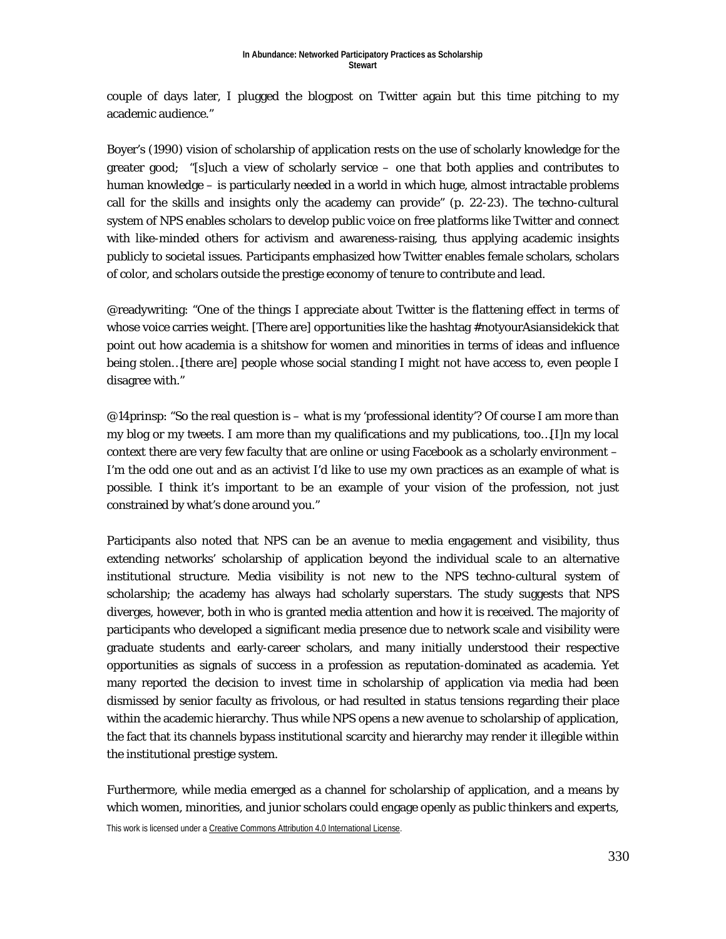couple of days later, I plugged the blogpost on Twitter again but this time pitching to my academic audience."

Boyer's (1990) vision of scholarship of application rests on the use of scholarly knowledge for the greater good; "[s]uch a view of scholarly service – one that both applies and contributes to human knowledge – is particularly needed in a world in which huge, almost intractable problems call for the skills and insights only the academy can provide" (p. 22-23). The techno-cultural system of NPS enables scholars to develop public voice on free platforms like Twitter and connect with like-minded others for activism and awareness-raising, thus applying academic insights publicly to societal issues. Participants emphasized how Twitter enables female scholars, scholars of color, and scholars outside the prestige economy of tenure to contribute and lead.

@readywriting: "One of the things I appreciate about Twitter is the flattening effect in terms of whose voice carries weight. [There are] opportunities like the hashtag #notyourAsiansidekick that point out how academia is a shitshow for women and minorities in terms of ideas and influence being stolen…[there are] people whose social standing I might not have access to, even people I disagree with."

 $@14$ prinsp: "So the real question is – what is my 'professional identity'? Of course I am more than my blog or my tweets. I am more than my qualifications and my publications, too…[I]n my local context there are very few faculty that are online or using Facebook as a scholarly environment – I'm the odd one out and as an activist I'd like to use my own practices as an example of what is possible. I think it's important to be an example of your vision of the profession, not just constrained by what's done around you."

Participants also noted that NPS can be an avenue to media engagement and visibility, thus extending networks' scholarship of application beyond the individual scale to an alternative institutional structure. Media visibility is not new to the NPS techno-cultural system of scholarship; the academy has always had scholarly superstars. The study suggests that NPS diverges, however, both in who is granted media attention and how it is received. The majority of participants who developed a significant media presence due to network scale and visibility were graduate students and early-career scholars, and many initially understood their respective opportunities as signals of success in a profession as reputation-dominated as academia. Yet many reported the decision to invest time in scholarship of application via media had been dismissed by senior faculty as frivolous, or had resulted in status tensions regarding their place within the academic hierarchy. Thus while NPS opens a new avenue to scholarship of application, the fact that its channels bypass institutional scarcity and hierarchy may render it illegible within the institutional prestige system.

Furthermore, while media emerged as a channel for scholarship of application, and a means by which women, minorities, and junior scholars could engage openly as public thinkers and experts,

This work is licensed under [a Creative Commons Attribution 4.0 International License.](http://creativecommons.org/licenses/by/4.0/)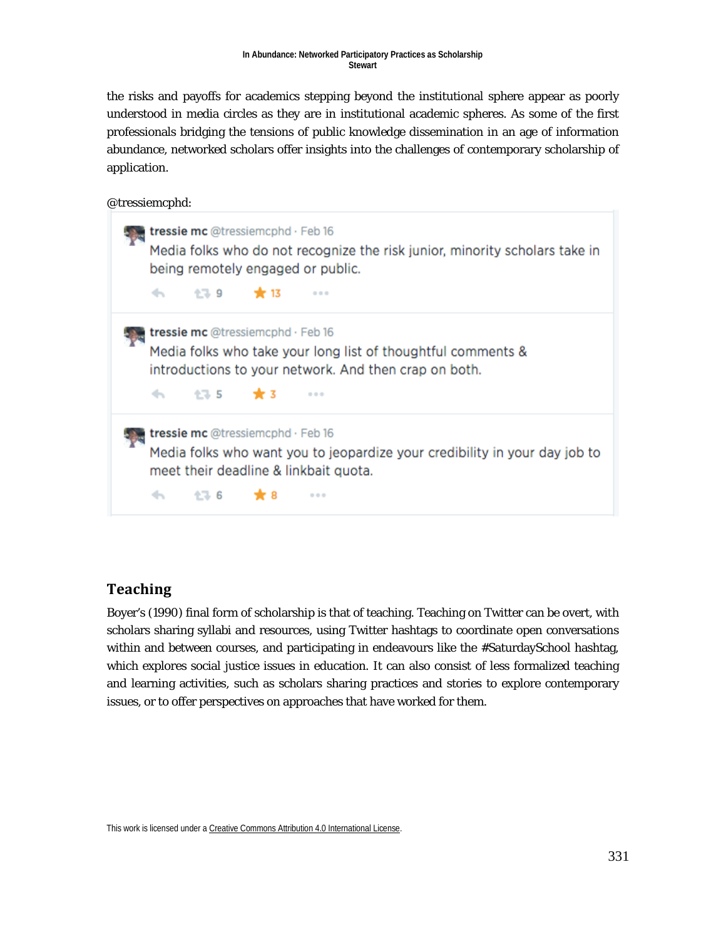the risks and payoffs for academics stepping beyond the institutional sphere appear as poorly understood in media circles as they are in institutional academic spheres. As some of the first professionals bridging the tensions of public knowledge dissemination in an age of information abundance, networked scholars offer insights into the challenges of contemporary scholarship of application.

@tressiemcphd:

| tressie mc @tressiemcphd · Feb 16<br>Media folks who do not recognize the risk junior, minority scholars take in<br>being remotely engaged or public.<br>0.0.0                                |
|-----------------------------------------------------------------------------------------------------------------------------------------------------------------------------------------------|
| <b>tressie mc</b> @tressiemcphd $\cdot$ Feb 16<br>Media folks who take your long list of thoughtful comments &<br>introductions to your network. And then crap on both.<br>√h 135 ★3<br>0.0.0 |
| tressie mc @tressiemcphd · Feb 16<br>Media folks who want you to jeopardize your credibility in your day job to<br>meet their deadline & linkbait quota.<br>0.0.0                             |

## **Teaching**

Boyer's (1990) final form of scholarship is that of teaching. Teaching on Twitter can be overt, with scholars sharing syllabi and resources, using Twitter hashtags to coordinate open conversations within and between courses, and participating in endeavours like the #SaturdaySchool hashtag, which explores social justice issues in education. It can also consist of less formalized teaching and learning activities, such as scholars sharing practices and stories to explore contemporary issues, or to offer perspectives on approaches that have worked for them.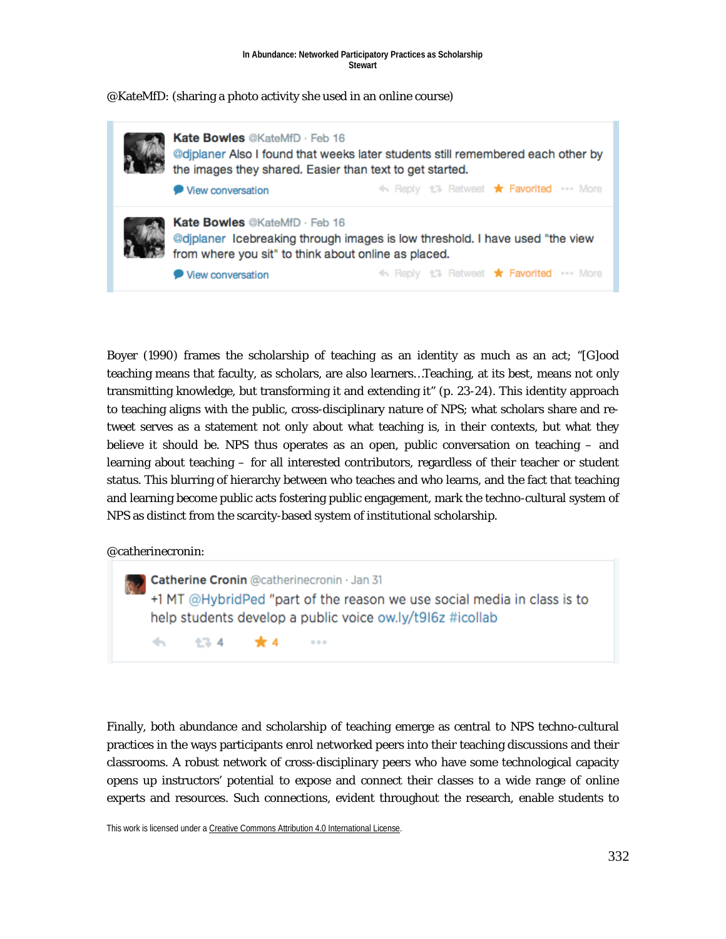#### **In Abundance: Networked Participatory Practices as Scholarship Stewart**

### @KateMfD: (sharing a photo activity she used in an online course)



Boyer (1990) frames the scholarship of teaching as an identity as much as an act; "[G]ood teaching means that faculty, as scholars, are also learners…Teaching, at its best, means not only transmitting knowledge, but transforming it and extending it" (p. 23-24). This identity approach to teaching aligns with the public, cross-disciplinary nature of NPS; what scholars share and retweet serves as a statement not only about what teaching is, in their contexts, but what they believe it should be. NPS thus operates as an open, public conversation on teaching – and learning about teaching – for all interested contributors, regardless of their teacher or student status. This blurring of hierarchy between who teaches and who learns, and the fact that teaching and learning become public acts fostering public engagement, mark the techno-cultural system of NPS as distinct from the scarcity-based system of institutional scholarship.

### @catherinecronin:



Finally, both abundance and scholarship of teaching emerge as central to NPS techno-cultural practices in the ways participants enrol networked peers into their teaching discussions and their classrooms. A robust network of cross-disciplinary peers who have some technological capacity opens up instructors' potential to expose and connect their classes to a wide range of online experts and resources. Such connections, evident throughout the research, enable students to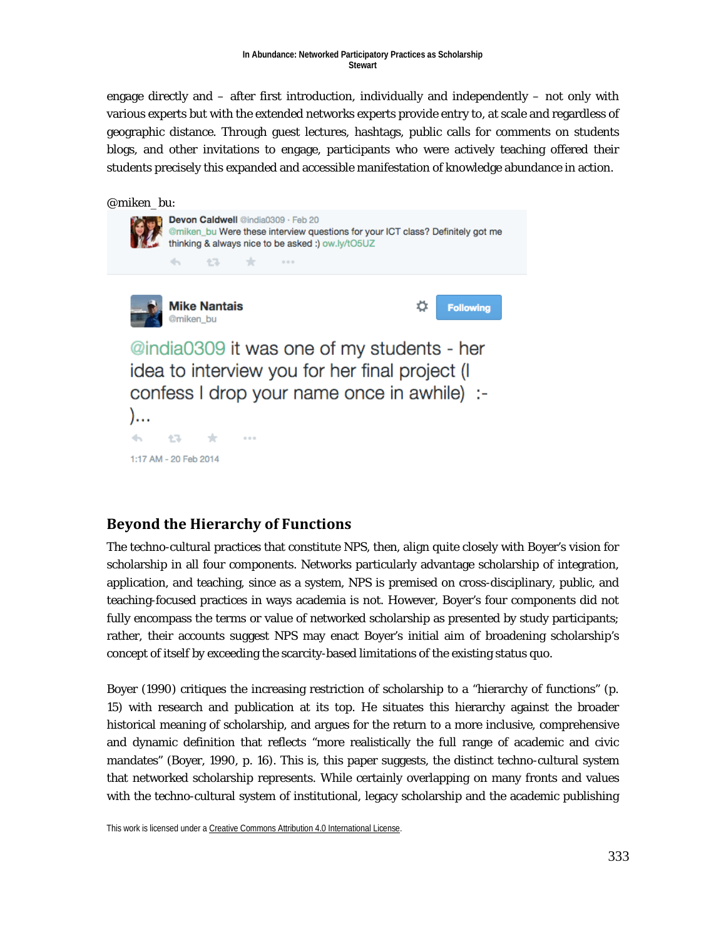engage directly and – after first introduction, individually and independently – not only with various experts but with the extended networks experts provide entry to, at scale and regardless of geographic distance. Through guest lectures, hashtags, public calls for comments on students blogs, and other invitations to engage, participants who were actively teaching offered their students precisely this expanded and accessible manifestation of knowledge abundance in action.



## **Beyond the Hierarchy of Functions**

The techno-cultural practices that constitute NPS, then, align quite closely with Boyer's vision for scholarship in all four components. Networks particularly advantage scholarship of integration, application, and teaching, since as a system, NPS is premised on cross-disciplinary, public, and teaching-focused practices in ways academia is not. However, Boyer's four components did not fully encompass the terms or value of networked scholarship as presented by study participants; rather, their accounts suggest NPS may enact Boyer's initial aim of broadening scholarship's concept of itself by exceeding the scarcity-based limitations of the existing status quo.

Boyer (1990) critiques the increasing restriction of scholarship to a "hierarchy of functions" (p. 15) with research and publication at its top. He situates this hierarchy against the broader historical meaning of scholarship, and argues for the return to a more inclusive, comprehensive and dynamic definition that reflects "more realistically the full range of academic and civic mandates" (Boyer, 1990, p. 16). This is, this paper suggests, the distinct techno-cultural system that networked scholarship represents. While certainly overlapping on many fronts and values with the techno-cultural system of institutional, legacy scholarship and the academic publishing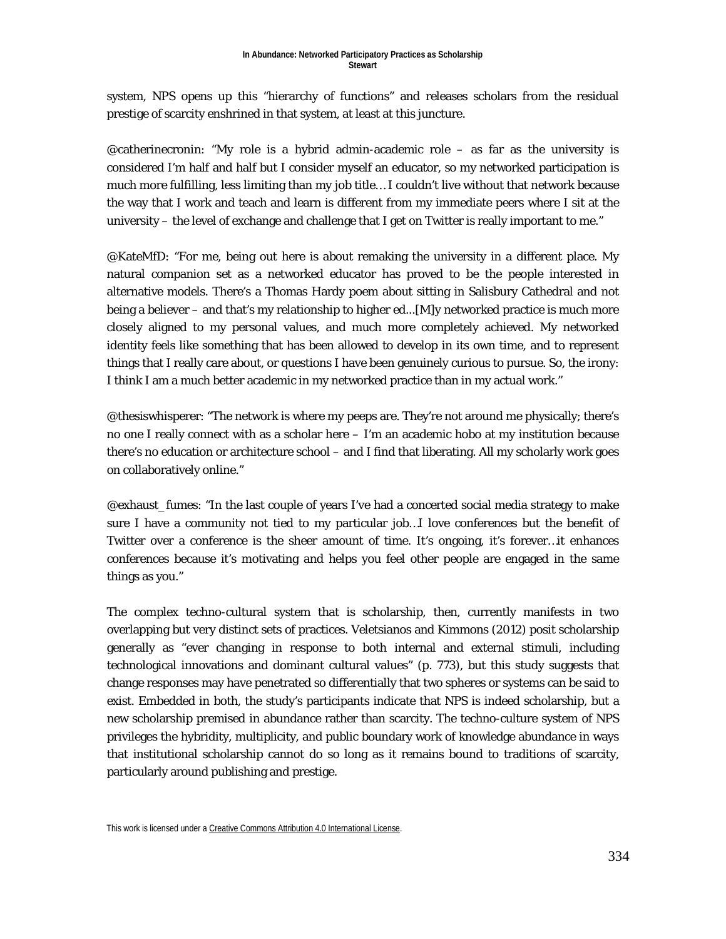system, NPS opens up this "hierarchy of functions" and releases scholars from the residual prestige of scarcity enshrined in that system, at least at this juncture.

@catherinecronin: "My role is a hybrid admin-academic role – as far as the university is considered I'm half and half but I consider myself an educator, so my networked participation is much more fulfilling, less limiting than my job title… I couldn't live without that network because the way that I work and teach and learn is different from my immediate peers where I sit at the university – the level of exchange and challenge that I get on Twitter is really important to me."

@KateMfD: "For me, being out here is about remaking the university in a different place. My natural companion set as a networked educator has proved to be the people interested in alternative models. There's a Thomas Hardy poem about sitting in Salisbury Cathedral and not being a believer – and that's my relationship to higher ed...[M]y networked practice is much more closely aligned to my personal values, and much more completely achieved. My networked identity feels like something that has been allowed to develop in its own time, and to represent things that I really care about, or questions I have been genuinely curious to pursue. So, the irony: I think I am a much better academic in my networked practice than in my actual work."

@thesiswhisperer: "The network is where my peeps are. They're not around me physically; there's no one I really connect with as a scholar here – I'm an academic hobo at my institution because there's no education or architecture school – and I find that liberating. All my scholarly work goes on collaboratively online."

@exhaust\_fumes: "In the last couple of years I've had a concerted social media strategy to make sure I have a community not tied to my particular job…I love conferences but the benefit of Twitter over a conference is the sheer amount of time. It's ongoing, it's forever…it enhances conferences because it's motivating and helps you feel other people are engaged in the same things as you."

The complex techno-cultural system that is scholarship, then, currently manifests in two overlapping but very distinct sets of practices. Veletsianos and Kimmons (2012) posit scholarship generally as "ever changing in response to both internal and external stimuli, including technological innovations and dominant cultural values" (p. 773), but this study suggests that change responses may have penetrated so differentially that two spheres or systems can be said to exist. Embedded in both, the study's participants indicate that NPS is indeed scholarship, but a new scholarship premised in abundance rather than scarcity. The techno-culture system of NPS privileges the hybridity, multiplicity, and public boundary work of knowledge abundance in ways that institutional scholarship cannot do so long as it remains bound to traditions of scarcity, particularly around publishing and prestige.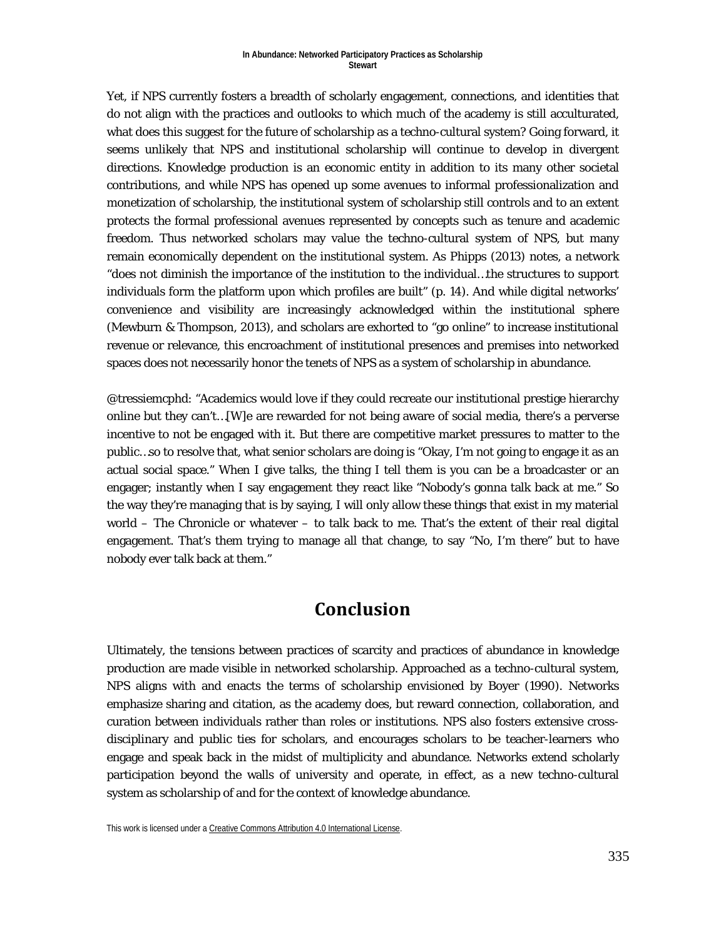Yet, if NPS currently fosters a breadth of scholarly engagement, connections, and identities that do not align with the practices and outlooks to which much of the academy is still acculturated, what does this suggest for the future of scholarship as a techno-cultural system? Going forward, it seems unlikely that NPS and institutional scholarship will continue to develop in divergent directions. Knowledge production is an economic entity in addition to its many other societal contributions, and while NPS has opened up some avenues to informal professionalization and monetization of scholarship, the institutional system of scholarship still controls and to an extent protects the formal professional avenues represented by concepts such as tenure and academic freedom. Thus networked scholars may value the techno-cultural system of NPS, but many remain economically dependent on the institutional system. As Phipps (2013) notes, a network "does not diminish the importance of the institution to the individual…the structures to support individuals form the platform upon which profiles are built" (p. 14). And while digital networks' convenience and visibility are increasingly acknowledged within the institutional sphere (Mewburn & Thompson, 2013), and scholars are exhorted to "go online" to increase institutional revenue or relevance, this encroachment of institutional presences and premises into networked spaces does not necessarily honor the tenets of NPS as a system of scholarship in abundance.

@tressiemcphd: "Academics would love if they could recreate our institutional prestige hierarchy online but they can't…[W]e are rewarded for not being aware of social media, there's a perverse incentive to not be engaged with it. But there are competitive market pressures to matter to the public…so to resolve that, what senior scholars are doing is "Okay, I'm not going to engage it as an actual social space." When I give talks, the thing I tell them is you can be a broadcaster or an engager; instantly when I say engagement they react like "Nobody's gonna talk back at me." So the way they're managing that is by saying, I will only allow these things that exist in my material world – The Chronicle or whatever – to talk back to me. That's the extent of their real digital engagement. That's them trying to manage all that change, to say "No, I'm there" but to have nobody ever talk back at them."

# **Conclusion**

Ultimately, the tensions between practices of scarcity and practices of abundance in knowledge production are made visible in networked scholarship. Approached as a techno-cultural system, NPS aligns with and enacts the terms of scholarship envisioned by Boyer (1990). Networks emphasize sharing and citation, as the academy does, but reward connection, collaboration, and curation between individuals rather than roles or institutions. NPS also fosters extensive crossdisciplinary and public ties for scholars, and encourages scholars to be teacher-learners who engage and speak back in the midst of multiplicity and abundance. Networks extend scholarly participation beyond the walls of university and operate, in effect, as a new techno-cultural system as scholarship of and for the context of knowledge abundance.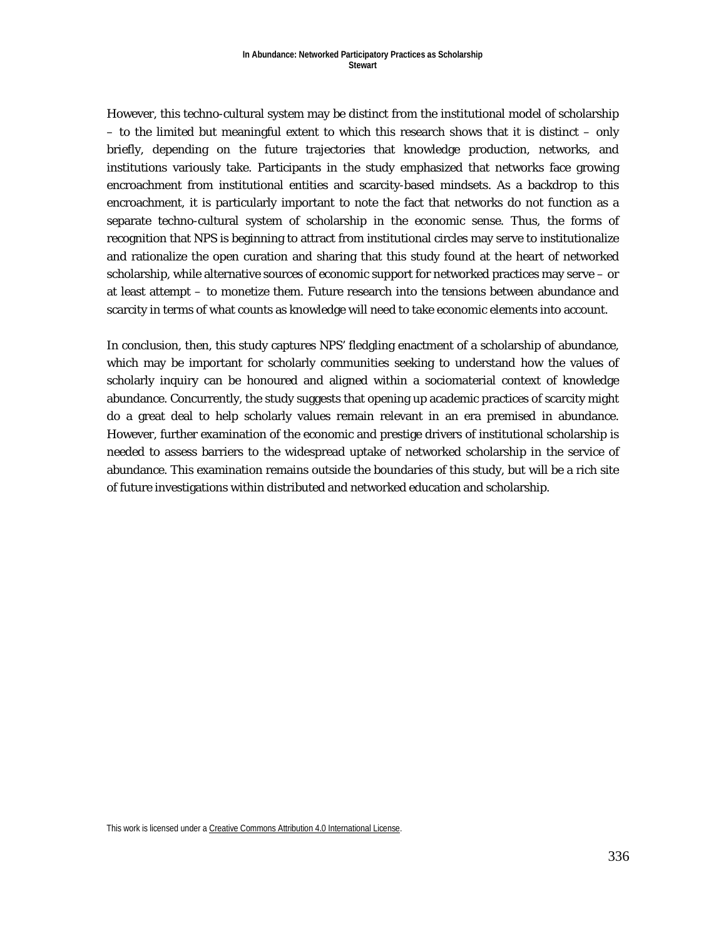However, this techno-cultural system may be distinct from the institutional model of scholarship – to the limited but meaningful extent to which this research shows that it is distinct – only briefly, depending on the future trajectories that knowledge production, networks, and institutions variously take. Participants in the study emphasized that networks face growing encroachment from institutional entities and scarcity-based mindsets. As a backdrop to this encroachment, it is particularly important to note the fact that networks do not function as a separate techno-cultural system of scholarship in the economic sense. Thus, the forms of recognition that NPS is beginning to attract from institutional circles may serve to institutionalize and rationalize the open curation and sharing that this study found at the heart of networked scholarship, while alternative sources of economic support for networked practices may serve – or at least attempt – to monetize them. Future research into the tensions between abundance and scarcity in terms of what counts as knowledge will need to take economic elements into account.

In conclusion, then, this study captures NPS' fledgling enactment of a scholarship of abundance, which may be important for scholarly communities seeking to understand how the values of scholarly inquiry can be honoured and aligned within a sociomaterial context of knowledge abundance. Concurrently, the study suggests that opening up academic practices of scarcity might do a great deal to help scholarly values remain relevant in an era premised in abundance. However, further examination of the economic and prestige drivers of institutional scholarship is needed to assess barriers to the widespread uptake of networked scholarship in the service of abundance. This examination remains outside the boundaries of this study, but will be a rich site of future investigations within distributed and networked education and scholarship.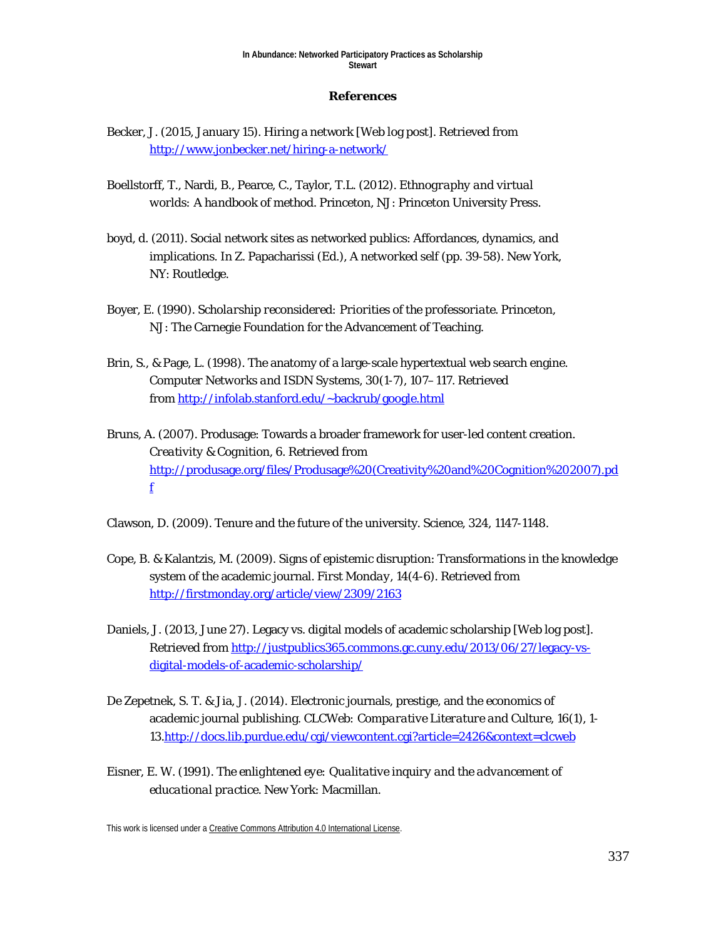### **References**

- Becker, J. (2015, January 15). Hiring a network [Web log post]. Retrieved from <http://www.jonbecker.net/hiring-a-network/>
- Boellstorff, T., Nardi, B., Pearce, C., Taylor, T.L. (2012). *Ethnography and virtual worlds: A handbook of method*. Princeton, NJ: Princeton University Press.
- boyd, d. (2011). Social network sites as networked publics: Affordances, dynamics, and implications. In Z. Papacharissi (Ed.), *A networked self* (pp. 39-58). New York, NY: Routledge.
- Boyer, E. (1990). *Scholarship reconsidered: Priorities of the professoriate*. Princeton, NJ: The Carnegie Foundation for the Advancement of Teaching.
- Brin, S., & Page, L. (1998). The anatomy of a large-scale hypertextual web search engine. *Computer Networks and ISDN Systems, 30*(1-7), 107–117. Retrieved from<http://infolab.stanford.edu/~backrub/google.html>
- Bruns, A. (2007). Produsage: Towards a broader framework for user-led content creation. *Creativity & Cognition, 6*. Retrieved from [http://produsage.org/files/Produsage%20\(Creativity%20and%20Cognition%202007\).pd](http://produsage.org/files/Produsage%20(Creativity%20and%20Cognition%202007).pdf) [f](http://produsage.org/files/Produsage%20(Creativity%20and%20Cognition%202007).pdf)

Clawson, D. (2009). Tenure and the future of the university. *Science, 324*, 1147-1148.

- Cope, B. & Kalantzis, M. (2009). Signs of epistemic disruption: Transformations in the knowledge system of the academic journal. *First Monday, 14*(4-6). Retrieved from <http://firstmonday.org/article/view/2309/2163>
- Daniels, J. (2013, June 27). Legacy vs. digital models of academic scholarship [Web log post]. Retrieved from [http://justpublics365.commons.gc.cuny.edu/2013/06/27/legacy-vs](http://justpublics365.commons.gc.cuny.edu/2013/06/27/legacy-vs-digital-models-of-academic-scholarship/)[digital-models-of-academic-scholarship/](http://justpublics365.commons.gc.cuny.edu/2013/06/27/legacy-vs-digital-models-of-academic-scholarship/)
- De Zepetnek, S. T. & Jia, J. (2014). Electronic journals, prestige, and the economics of academic journal publishing. *CLCWeb: Comparative Literature and Culture, 16*(1), 1- 13[.http://docs.lib.purdue.edu/cgi/viewcontent.cgi?article=2426&context=clcweb](http://docs.lib.purdue.edu/cgi/viewcontent.cgi?article=2426&context=clcweb)
- Eisner, E. W. (1991). *The enlightened eye: Qualitative inquiry and the advancement of educational practice*. New York: Macmillan.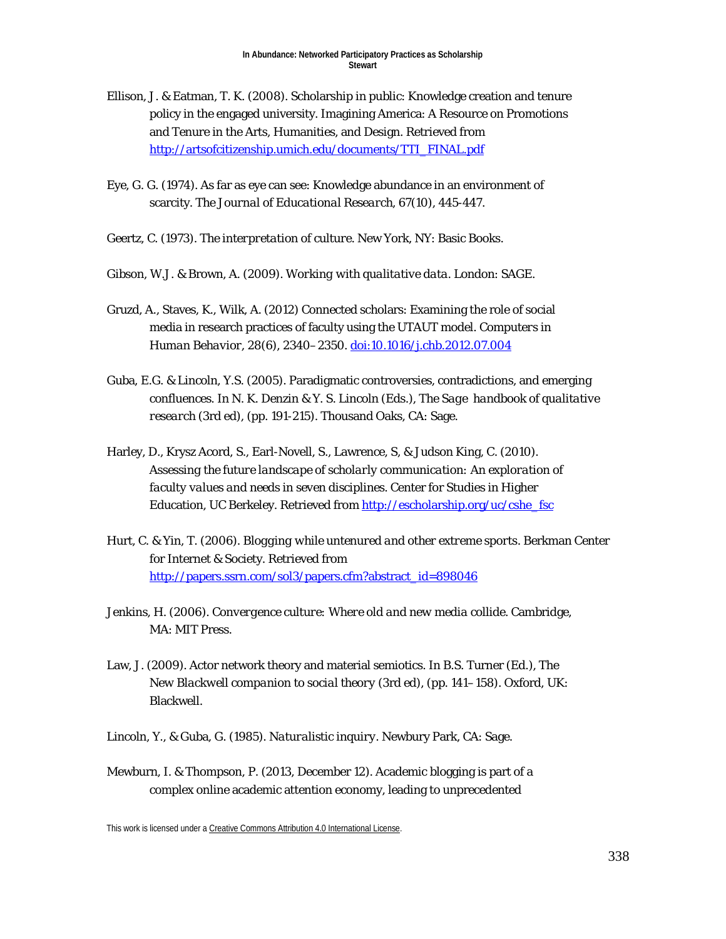- Ellison, J. & Eatman, T. K. (2008). Scholarship in public: Knowledge creation and tenure policy in the engaged university. Imagining America: A Resource on Promotions and Tenure in the Arts, Humanities, and Design. Retrieved from [http://artsofcitizenship.umich.edu/documents/TTI\\_FINAL.pdf](http://artsofcitizenship.umich.edu/documents/TTI_FINAL.pdf)
- Eye, G. G. (1974). As far as eye can see: Knowledge abundance in an environment of scarcity. *The Journal of Educational Research, 67*(10), 445-447.
- Geertz, C. (1973). *The interpretation of culture*. New York, NY: Basic Books.
- Gibson, W.J. & Brown, A. (2009). *Working with qualitative data*. London: SAGE.
- Gruzd, A., Staves, K., Wilk, A. (2012) Connected scholars: Examining the role of social media in research practices of faculty using the UTAUT model. *Computers in Human Behavior, 28*(6), 2340–2350[. doi:10.1016/j.chb.2012.07.004](http://dx.doi.org/10.1016/j.chb.2012.07.004)
- Guba, E.G. & Lincoln, Y.S. (2005). Paradigmatic controversies, contradictions, and emerging confluences. In N. K. Denzin & Y. S. Lincoln (Eds.), *The Sage handbook of qualitative research* (3rd ed), (pp. 191-215). Thousand Oaks, CA: Sage.
- Harley, D., Krysz Acord, S., Earl-Novell, S., Lawrence, S, & Judson King, C. (2010). *Assessing the future landscape of scholarly communication: An exploration of faculty values and needs in seven disciplines*. Center for Studies in Higher Education, UC Berkeley. Retrieved from http://escholarship.org/uc/cshe\_fsc
- Hurt, C. & Yin, T. (2006). *Blogging while untenured and other extreme sports*. Berkman Center for Internet & Society. Retrieved from [http://papers.ssrn.com/sol3/papers.cfm?abstract\\_id=898046](http://papers.ssrn.com/sol3/papers.cfm?abstract_id=898046)
- Jenkins, H. (2006). *Convergence culture: Where old and new media collide*. Cambridge, MA: MIT Press.
- Law, J. (2009). Actor network theory and material semiotics. In B.S. Turner (Ed.), The *New Blackwell companion to social theory* (3rd ed), (pp. 141–158). Oxford, UK: Blackwell.
- Lincoln, Y., & Guba, G. (1985). *Naturalistic inquiry*. Newbury Park, CA: Sage.
- Mewburn, I. & Thompson, P. (2013, December 12). Academic blogging is part of a complex online academic attention economy, leading to unprecedented

This work is licensed under [a Creative Commons Attribution 4.0 International License.](http://creativecommons.org/licenses/by/4.0/)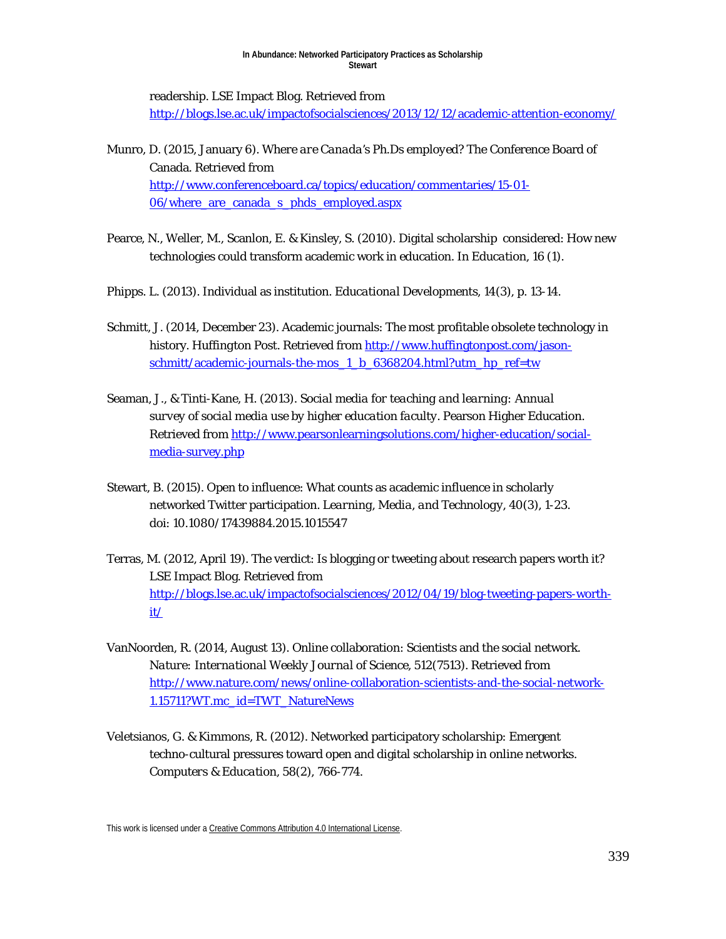readership. LSE Impact Blog. Retrieved from <http://blogs.lse.ac.uk/impactofsocialsciences/2013/12/12/academic-attention-economy/>

- Munro, D. (2015, January 6). *Where are Canada's Ph.Ds employed?* The Conference Board of Canada. Retrieved from [http://www.conferenceboard.ca/topics/education/commentaries/15-01-](http://www.conferenceboard.ca/topics/education/commentaries/15-01-06/where_are_canada_s_phds_employed.aspx) [06/where\\_are\\_canada\\_s\\_phds\\_employed.aspx](http://www.conferenceboard.ca/topics/education/commentaries/15-01-06/where_are_canada_s_phds_employed.aspx)
- Pearce, N., Weller, M., Scanlon, E. & Kinsley, S. (2010). Digital scholarship considered: How new technologies could transform academic work in education. In *Education, 16* (1).
- Phipps. L. (2013). Individual as institution. *Educational Developments, 14*(3), p. 13-14.
- Schmitt, J. (2014, December 23). Academic journals: The most profitable obsolete technology in history. *Huffington Post*. Retrieved from [http://www.huffingtonpost.com/jason](http://www.huffingtonpost.com/jason-schmitt/academic-journals-the-mos_1_b_6368204.html?utm_hp_ref=tw)[schmitt/academic-journals-the-mos\\_1\\_b\\_6368204.html?utm\\_hp\\_ref=tw](http://www.huffingtonpost.com/jason-schmitt/academic-journals-the-mos_1_b_6368204.html?utm_hp_ref=tw)
- Seaman, J., & Tinti-Kane, H. (2013). *Social media for teaching and learning: Annual survey of social media use by higher education faculty*. Pearson Higher Education. Retrieved from [http://www.pearsonlearningsolutions.com/higher-education/social](http://www.pearsonlearningsolutions.com/higher-education/social-media-survey.php)[media-survey.php](http://www.pearsonlearningsolutions.com/higher-education/social-media-survey.php)
- Stewart, B. (2015). Open to influence: What counts as academic influence in scholarly networked Twitter participation. *Learning, Media, and Technology, 40*(3), 1-23. doi: 10.1080/17439884.2015.1015547
- Terras, M. (2012, April 19). The verdict: Is blogging or tweeting about research papers worth it? LSE Impact Blog. Retrieved from [http://blogs.lse.ac.uk/impactofsocialsciences/2012/04/19/blog-tweeting-papers-worth](http://blogs.lse.ac.uk/impactofsocialsciences/2012/04/19/blog-tweeting-papers-worth-it/)[it/](http://blogs.lse.ac.uk/impactofsocialsciences/2012/04/19/blog-tweeting-papers-worth-it/)
- VanNoorden, R. (2014, August 13). Online collaboration: Scientists and the social network. *Nature: International Weekly Journal of Science, 512*(7513). Retrieved from [http://www.nature.com/news/online-collaboration-scientists-and-the-social-network-](http://www.nature.com/news/online-collaboration-scientists-and-the-social-network-1.15711?WT.mc_id=TWT_NatureNews)[1.15711?WT.mc\\_id=TWT\\_NatureNews](http://www.nature.com/news/online-collaboration-scientists-and-the-social-network-1.15711?WT.mc_id=TWT_NatureNews)
- Veletsianos, G. & Kimmons, R. (2012). Networked participatory scholarship: Emergent techno-cultural pressures toward open and digital scholarship in online networks. *Computers & Education, 58*(2), 766-774.

This work is licensed under [a Creative Commons Attribution 4.0 International License.](http://creativecommons.org/licenses/by/4.0/)